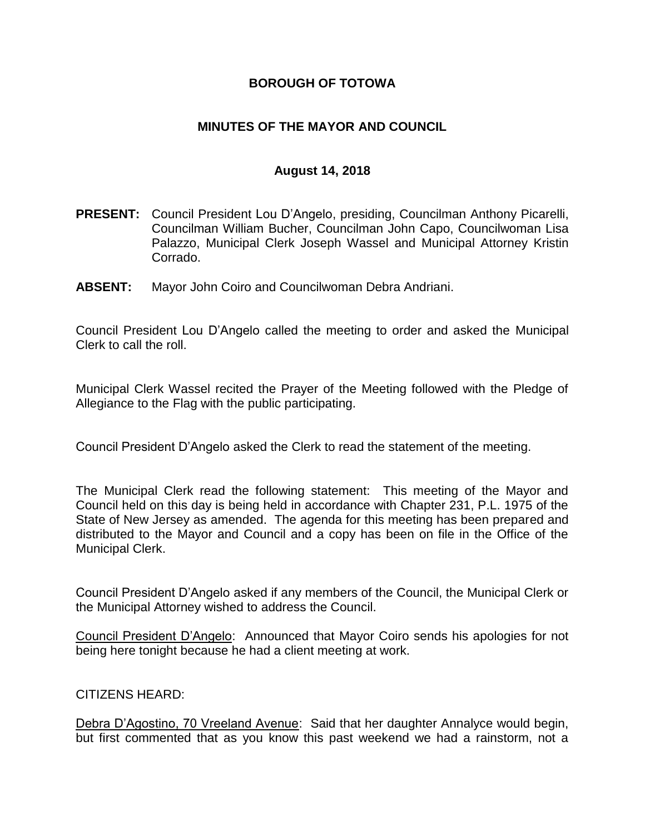### **BOROUGH OF TOTOWA**

### **MINUTES OF THE MAYOR AND COUNCIL**

#### **August 14, 2018**

- **PRESENT:** Council President Lou D'Angelo, presiding, Councilman Anthony Picarelli, Councilman William Bucher, Councilman John Capo, Councilwoman Lisa Palazzo, Municipal Clerk Joseph Wassel and Municipal Attorney Kristin Corrado.
- **ABSENT:** Mayor John Coiro and Councilwoman Debra Andriani.

Council President Lou D'Angelo called the meeting to order and asked the Municipal Clerk to call the roll.

Municipal Clerk Wassel recited the Prayer of the Meeting followed with the Pledge of Allegiance to the Flag with the public participating.

Council President D'Angelo asked the Clerk to read the statement of the meeting.

The Municipal Clerk read the following statement: This meeting of the Mayor and Council held on this day is being held in accordance with Chapter 231, P.L. 1975 of the State of New Jersey as amended. The agenda for this meeting has been prepared and distributed to the Mayor and Council and a copy has been on file in the Office of the Municipal Clerk.

Council President D'Angelo asked if any members of the Council, the Municipal Clerk or the Municipal Attorney wished to address the Council.

Council President D'Angelo: Announced that Mayor Coiro sends his apologies for not being here tonight because he had a client meeting at work.

#### CITIZENS HEARD:

Debra D'Agostino, 70 Vreeland Avenue: Said that her daughter Annalyce would begin, but first commented that as you know this past weekend we had a rainstorm, not a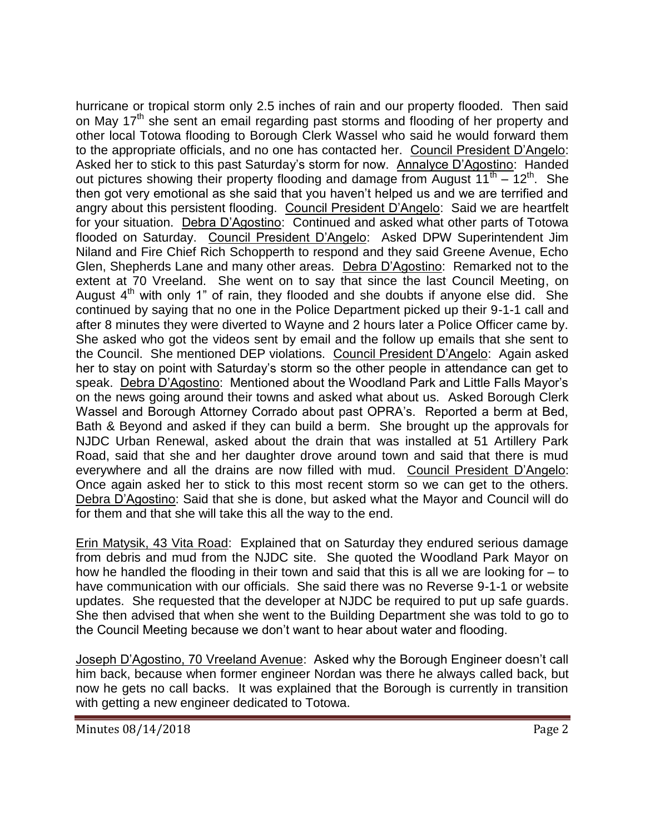hurricane or tropical storm only 2.5 inches of rain and our property flooded. Then said on May 17<sup>th</sup> she sent an email regarding past storms and flooding of her property and other local Totowa flooding to Borough Clerk Wassel who said he would forward them to the appropriate officials, and no one has contacted her. Council President D'Angelo: Asked her to stick to this past Saturday's storm for now. Annalyce D'Agostino: Handed out pictures showing their property flooding and damage from August  $11^{th} - 12^{th}$ . She then got very emotional as she said that you haven't helped us and we are terrified and angry about this persistent flooding. Council President D'Angelo: Said we are heartfelt for your situation. Debra D'Agostino: Continued and asked what other parts of Totowa flooded on Saturday. Council President D'Angelo: Asked DPW Superintendent Jim Niland and Fire Chief Rich Schopperth to respond and they said Greene Avenue, Echo Glen, Shepherds Lane and many other areas. Debra D'Agostino: Remarked not to the extent at 70 Vreeland. She went on to say that since the last Council Meeting, on August  $4<sup>th</sup>$  with only 1" of rain, they flooded and she doubts if anyone else did. She continued by saying that no one in the Police Department picked up their 9-1-1 call and after 8 minutes they were diverted to Wayne and 2 hours later a Police Officer came by. She asked who got the videos sent by email and the follow up emails that she sent to the Council. She mentioned DEP violations. Council President D'Angelo: Again asked her to stay on point with Saturday's storm so the other people in attendance can get to speak. Debra D'Agostino: Mentioned about the Woodland Park and Little Falls Mayor's on the news going around their towns and asked what about us. Asked Borough Clerk Wassel and Borough Attorney Corrado about past OPRA's. Reported a berm at Bed, Bath & Beyond and asked if they can build a berm. She brought up the approvals for NJDC Urban Renewal, asked about the drain that was installed at 51 Artillery Park Road, said that she and her daughter drove around town and said that there is mud everywhere and all the drains are now filled with mud. Council President D'Angelo: Once again asked her to stick to this most recent storm so we can get to the others. Debra D'Agostino: Said that she is done, but asked what the Mayor and Council will do for them and that she will take this all the way to the end.

Erin Matysik, 43 Vita Road: Explained that on Saturday they endured serious damage from debris and mud from the NJDC site. She quoted the Woodland Park Mayor on how he handled the flooding in their town and said that this is all we are looking for – to have communication with our officials. She said there was no Reverse 9-1-1 or website updates. She requested that the developer at NJDC be required to put up safe guards. She then advised that when she went to the Building Department she was told to go to the Council Meeting because we don't want to hear about water and flooding.

Joseph D'Agostino, 70 Vreeland Avenue: Asked why the Borough Engineer doesn't call him back, because when former engineer Nordan was there he always called back, but now he gets no call backs. It was explained that the Borough is currently in transition with getting a new engineer dedicated to Totowa.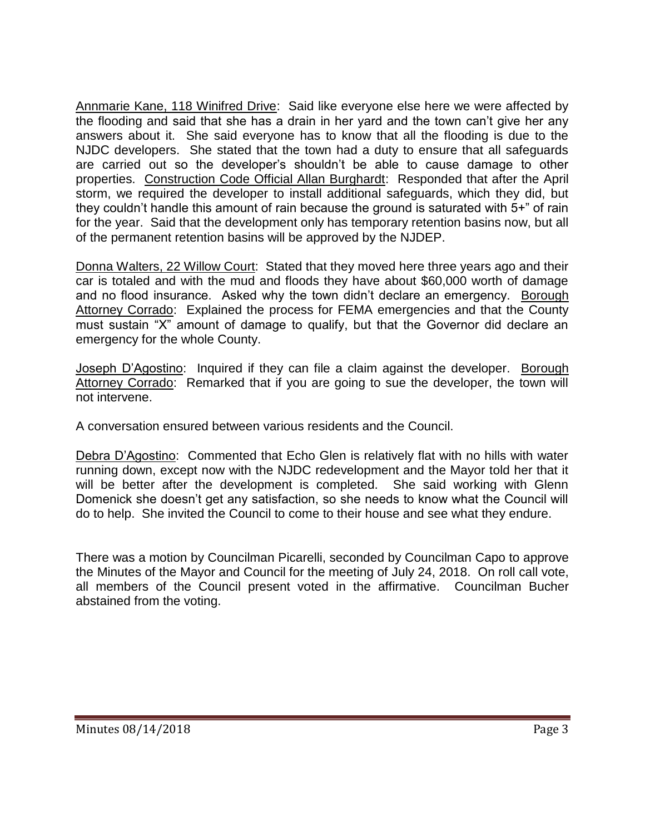Annmarie Kane, 118 Winifred Drive: Said like everyone else here we were affected by the flooding and said that she has a drain in her yard and the town can't give her any answers about it. She said everyone has to know that all the flooding is due to the NJDC developers. She stated that the town had a duty to ensure that all safeguards are carried out so the developer's shouldn't be able to cause damage to other properties. Construction Code Official Allan Burghardt: Responded that after the April storm, we required the developer to install additional safeguards, which they did, but they couldn't handle this amount of rain because the ground is saturated with 5+" of rain for the year. Said that the development only has temporary retention basins now, but all of the permanent retention basins will be approved by the NJDEP.

Donna Walters, 22 Willow Court: Stated that they moved here three years ago and their car is totaled and with the mud and floods they have about \$60,000 worth of damage and no flood insurance. Asked why the town didn't declare an emergency. Borough Attorney Corrado: Explained the process for FEMA emergencies and that the County must sustain "X" amount of damage to qualify, but that the Governor did declare an emergency for the whole County.

Joseph D'Agostino: Inquired if they can file a claim against the developer. Borough Attorney Corrado: Remarked that if you are going to sue the developer, the town will not intervene.

A conversation ensured between various residents and the Council.

Debra D'Agostino: Commented that Echo Glen is relatively flat with no hills with water running down, except now with the NJDC redevelopment and the Mayor told her that it will be better after the development is completed. She said working with Glenn Domenick she doesn't get any satisfaction, so she needs to know what the Council will do to help. She invited the Council to come to their house and see what they endure.

There was a motion by Councilman Picarelli, seconded by Councilman Capo to approve the Minutes of the Mayor and Council for the meeting of July 24, 2018. On roll call vote, all members of the Council present voted in the affirmative. Councilman Bucher abstained from the voting.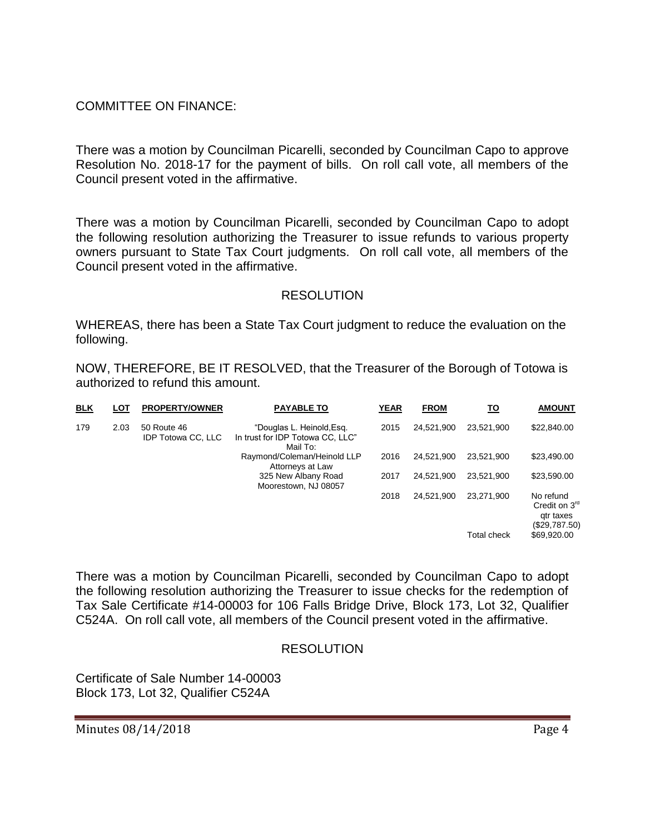# COMMITTEE ON FINANCE:

There was a motion by Councilman Picarelli, seconded by Councilman Capo to approve Resolution No. 2018-17 for the payment of bills. On roll call vote, all members of the Council present voted in the affirmative.

There was a motion by Councilman Picarelli, seconded by Councilman Capo to adopt the following resolution authorizing the Treasurer to issue refunds to various property owners pursuant to State Tax Court judgments. On roll call vote, all members of the Council present voted in the affirmative.

### RESOLUTION

WHEREAS, there has been a State Tax Court judgment to reduce the evaluation on the following.

NOW, THEREFORE, BE IT RESOLVED, that the Treasurer of the Borough of Totowa is authorized to refund this amount.

| <b>BLK</b> | LOT  | <b>PROPERTY/OWNER</b>                    | <b>PAYABLE TO</b>                                                         | <b>YEAR</b> | <b>FROM</b> | <u>TO</u>          | <b>AMOUNT</b>                                              |
|------------|------|------------------------------------------|---------------------------------------------------------------------------|-------------|-------------|--------------------|------------------------------------------------------------|
| 179        | 2.03 | 50 Route 46<br><b>IDP Totowa CC, LLC</b> | "Douglas L. Heinold, Esg.<br>In trust for IDP Totowa CC, LLC"<br>Mail To: | 2015        | 24.521.900  | 23.521.900         | \$22,840.00                                                |
|            |      |                                          | Raymond/Coleman/Heinold LLP<br>Attorneys at Law                           | 2016        | 24.521.900  | 23.521.900         | \$23,490.00                                                |
|            |      |                                          | 325 New Albany Road<br>Moorestown, NJ 08057                               | 2017        | 24.521.900  | 23.521.900         | \$23,590.00                                                |
|            |      |                                          |                                                                           | 2018        | 24.521.900  | 23,271,900         | No refund<br>Credit on $3rd$<br>gtr taxes<br>(\$29,787.50) |
|            |      |                                          |                                                                           |             |             | <b>Total check</b> | \$69,920.00                                                |

There was a motion by Councilman Picarelli, seconded by Councilman Capo to adopt the following resolution authorizing the Treasurer to issue checks for the redemption of Tax Sale Certificate #14-00003 for 106 Falls Bridge Drive, Block 173, Lot 32, Qualifier C524A. On roll call vote, all members of the Council present voted in the affirmative.

# RESOLUTION

Certificate of Sale Number 14-00003 Block 173, Lot 32, Qualifier C524A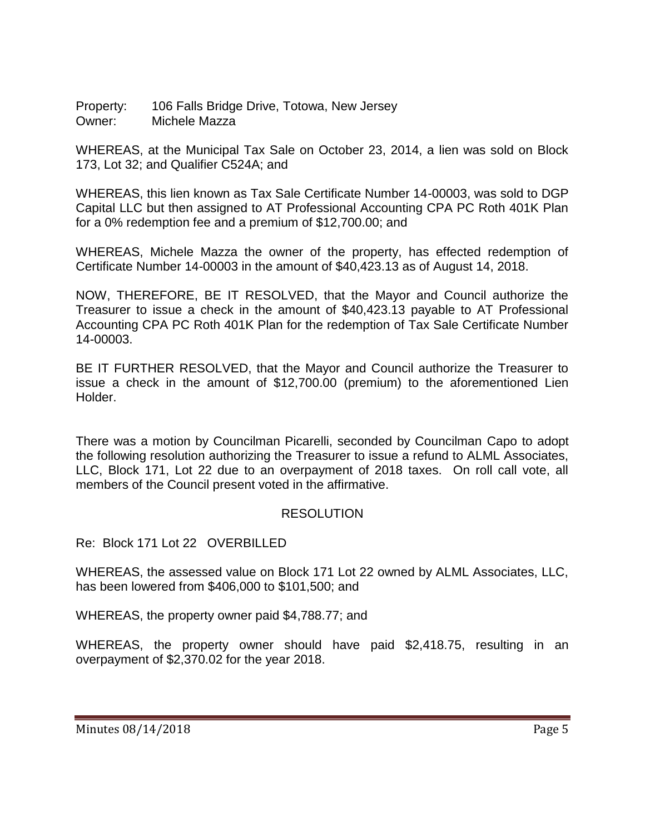Property: 106 Falls Bridge Drive, Totowa, New Jersey Owner: Michele Mazza

WHEREAS, at the Municipal Tax Sale on October 23, 2014, a lien was sold on Block 173, Lot 32; and Qualifier C524A; and

WHEREAS, this lien known as Tax Sale Certificate Number 14-00003, was sold to DGP Capital LLC but then assigned to AT Professional Accounting CPA PC Roth 401K Plan for a 0% redemption fee and a premium of \$12,700.00; and

WHEREAS, Michele Mazza the owner of the property, has effected redemption of Certificate Number 14-00003 in the amount of \$40,423.13 as of August 14, 2018.

NOW, THEREFORE, BE IT RESOLVED, that the Mayor and Council authorize the Treasurer to issue a check in the amount of \$40,423.13 payable to AT Professional Accounting CPA PC Roth 401K Plan for the redemption of Tax Sale Certificate Number 14-00003.

BE IT FURTHER RESOLVED, that the Mayor and Council authorize the Treasurer to issue a check in the amount of \$12,700.00 (premium) to the aforementioned Lien Holder.

There was a motion by Councilman Picarelli, seconded by Councilman Capo to adopt the following resolution authorizing the Treasurer to issue a refund to ALML Associates, LLC, Block 171, Lot 22 due to an overpayment of 2018 taxes. On roll call vote, all members of the Council present voted in the affirmative.

# RESOLUTION

Re: Block 171 Lot 22 OVERBILLED

WHEREAS, the assessed value on Block 171 Lot 22 owned by ALML Associates, LLC, has been lowered from \$406,000 to \$101,500; and

WHEREAS, the property owner paid \$4,788.77; and

WHEREAS, the property owner should have paid \$2,418.75, resulting in an overpayment of \$2,370.02 for the year 2018.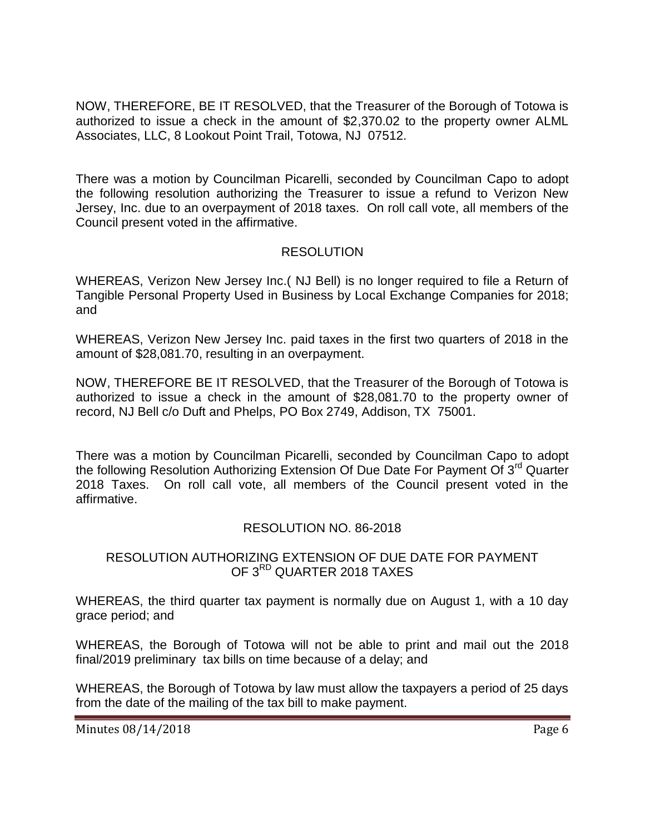NOW, THEREFORE, BE IT RESOLVED, that the Treasurer of the Borough of Totowa is authorized to issue a check in the amount of \$2,370.02 to the property owner ALML Associates, LLC, 8 Lookout Point Trail, Totowa, NJ 07512.

There was a motion by Councilman Picarelli, seconded by Councilman Capo to adopt the following resolution authorizing the Treasurer to issue a refund to Verizon New Jersey, Inc. due to an overpayment of 2018 taxes. On roll call vote, all members of the Council present voted in the affirmative.

# **RESOLUTION**

WHEREAS, Verizon New Jersey Inc.( NJ Bell) is no longer required to file a Return of Tangible Personal Property Used in Business by Local Exchange Companies for 2018; and

WHEREAS, Verizon New Jersey Inc. paid taxes in the first two quarters of 2018 in the amount of \$28,081.70, resulting in an overpayment.

NOW, THEREFORE BE IT RESOLVED, that the Treasurer of the Borough of Totowa is authorized to issue a check in the amount of \$28,081.70 to the property owner of record, NJ Bell c/o Duft and Phelps, PO Box 2749, Addison, TX 75001.

There was a motion by Councilman Picarelli, seconded by Councilman Capo to adopt the following Resolution Authorizing Extension Of Due Date For Payment Of  $3<sup>rd</sup>$  Quarter 2018 Taxes. On roll call vote, all members of the Council present voted in the affirmative.

# RESOLUTION NO. 86-2018

### RESOLUTION AUTHORIZING EXTENSION OF DUE DATE FOR PAYMENT OF 3<sup>RD</sup> QUARTER 2018 TAXES

WHEREAS, the third quarter tax payment is normally due on August 1, with a 10 day grace period; and

WHEREAS, the Borough of Totowa will not be able to print and mail out the 2018 final/2019 preliminary tax bills on time because of a delay; and

WHEREAS, the Borough of Totowa by law must allow the taxpayers a period of 25 days from the date of the mailing of the tax bill to make payment.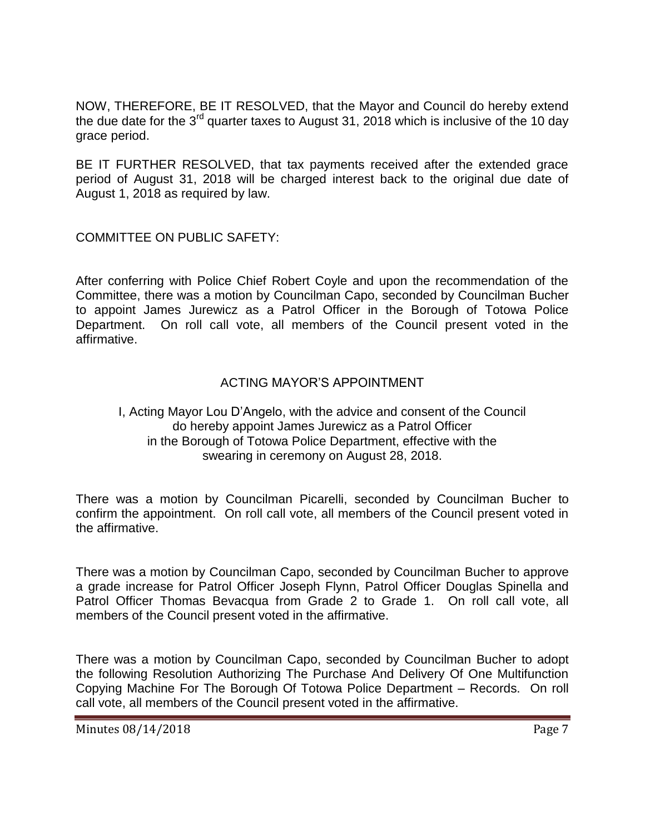NOW, THEREFORE, BE IT RESOLVED, that the Mayor and Council do hereby extend the due date for the  $3^{rd}$  quarter taxes to August 31, 2018 which is inclusive of the 10 day grace period.

BE IT FURTHER RESOLVED, that tax payments received after the extended grace period of August 31, 2018 will be charged interest back to the original due date of August 1, 2018 as required by law.

COMMITTEE ON PUBLIC SAFETY:

After conferring with Police Chief Robert Coyle and upon the recommendation of the Committee, there was a motion by Councilman Capo, seconded by Councilman Bucher to appoint James Jurewicz as a Patrol Officer in the Borough of Totowa Police Department. On roll call vote, all members of the Council present voted in the affirmative.

### ACTING MAYOR'S APPOINTMENT

#### I, Acting Mayor Lou D'Angelo, with the advice and consent of the Council do hereby appoint James Jurewicz as a Patrol Officer in the Borough of Totowa Police Department, effective with the swearing in ceremony on August 28, 2018.

There was a motion by Councilman Picarelli, seconded by Councilman Bucher to confirm the appointment. On roll call vote, all members of the Council present voted in the affirmative.

There was a motion by Councilman Capo, seconded by Councilman Bucher to approve a grade increase for Patrol Officer Joseph Flynn, Patrol Officer Douglas Spinella and Patrol Officer Thomas Bevacqua from Grade 2 to Grade 1. On roll call vote, all members of the Council present voted in the affirmative.

There was a motion by Councilman Capo, seconded by Councilman Bucher to adopt the following Resolution Authorizing The Purchase And Delivery Of One Multifunction Copying Machine For The Borough Of Totowa Police Department – Records. On roll call vote, all members of the Council present voted in the affirmative.

Minutes 08/14/2018 **Page 7**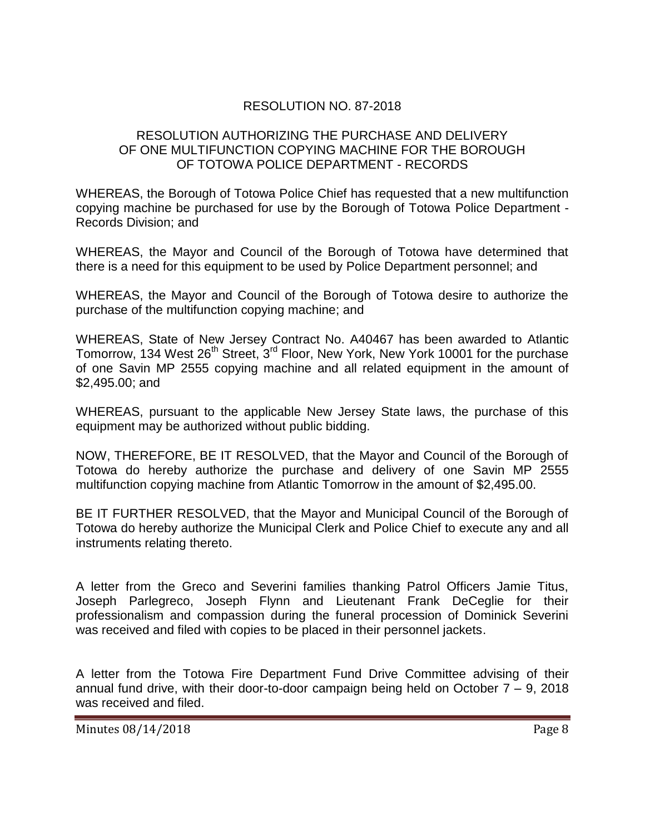# RESOLUTION NO. 87-2018

### RESOLUTION AUTHORIZING THE PURCHASE AND DELIVERY OF ONE MULTIFUNCTION COPYING MACHINE FOR THE BOROUGH OF TOTOWA POLICE DEPARTMENT - RECORDS

WHEREAS, the Borough of Totowa Police Chief has requested that a new multifunction copying machine be purchased for use by the Borough of Totowa Police Department - Records Division; and

WHEREAS, the Mayor and Council of the Borough of Totowa have determined that there is a need for this equipment to be used by Police Department personnel; and

WHEREAS, the Mayor and Council of the Borough of Totowa desire to authorize the purchase of the multifunction copying machine; and

WHEREAS, State of New Jersey Contract No. A40467 has been awarded to Atlantic Tomorrow, 134 West 26<sup>th</sup> Street, 3<sup>rd</sup> Floor, New York, New York 10001 for the purchase of one Savin MP 2555 copying machine and all related equipment in the amount of \$2,495.00; and

WHEREAS, pursuant to the applicable New Jersey State laws, the purchase of this equipment may be authorized without public bidding.

NOW, THEREFORE, BE IT RESOLVED, that the Mayor and Council of the Borough of Totowa do hereby authorize the purchase and delivery of one Savin MP 2555 multifunction copying machine from Atlantic Tomorrow in the amount of \$2,495.00.

BE IT FURTHER RESOLVED, that the Mayor and Municipal Council of the Borough of Totowa do hereby authorize the Municipal Clerk and Police Chief to execute any and all instruments relating thereto.

A letter from the Greco and Severini families thanking Patrol Officers Jamie Titus, Joseph Parlegreco, Joseph Flynn and Lieutenant Frank DeCeglie for their professionalism and compassion during the funeral procession of Dominick Severini was received and filed with copies to be placed in their personnel jackets.

A letter from the Totowa Fire Department Fund Drive Committee advising of their annual fund drive, with their door-to-door campaign being held on October  $7 - 9$ , 2018 was received and filed.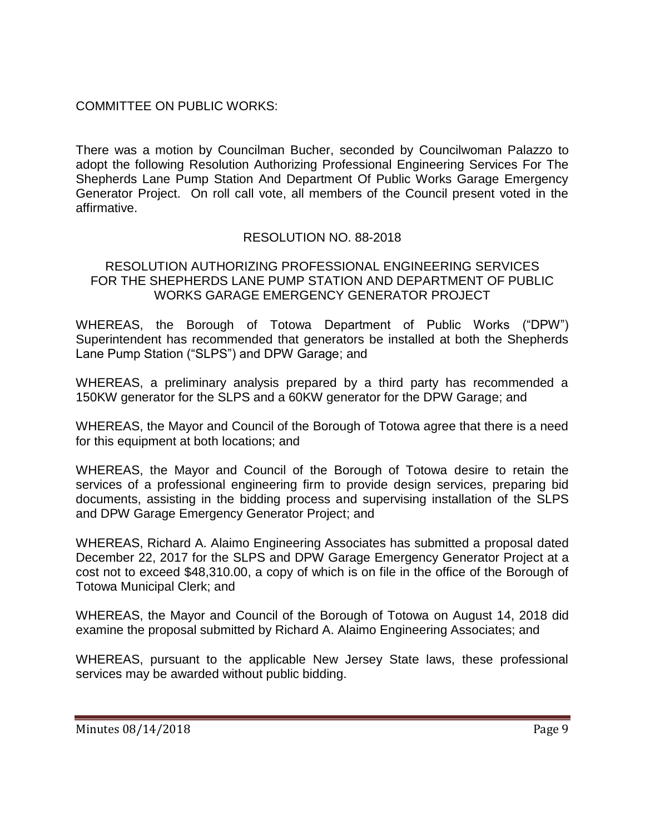# COMMITTEE ON PUBLIC WORKS:

There was a motion by Councilman Bucher, seconded by Councilwoman Palazzo to adopt the following Resolution Authorizing Professional Engineering Services For The Shepherds Lane Pump Station And Department Of Public Works Garage Emergency Generator Project. On roll call vote, all members of the Council present voted in the affirmative.

# RESOLUTION NO. 88-2018

#### RESOLUTION AUTHORIZING PROFESSIONAL ENGINEERING SERVICES FOR THE SHEPHERDS LANE PUMP STATION AND DEPARTMENT OF PUBLIC WORKS GARAGE EMERGENCY GENERATOR PROJECT

WHEREAS, the Borough of Totowa Department of Public Works ("DPW") Superintendent has recommended that generators be installed at both the Shepherds Lane Pump Station ("SLPS") and DPW Garage; and

WHEREAS, a preliminary analysis prepared by a third party has recommended a 150KW generator for the SLPS and a 60KW generator for the DPW Garage; and

WHEREAS, the Mayor and Council of the Borough of Totowa agree that there is a need for this equipment at both locations; and

WHEREAS, the Mayor and Council of the Borough of Totowa desire to retain the services of a professional engineering firm to provide design services, preparing bid documents, assisting in the bidding process and supervising installation of the SLPS and DPW Garage Emergency Generator Project; and

WHEREAS, Richard A. Alaimo Engineering Associates has submitted a proposal dated December 22, 2017 for the SLPS and DPW Garage Emergency Generator Project at a cost not to exceed \$48,310.00, a copy of which is on file in the office of the Borough of Totowa Municipal Clerk; and

WHEREAS, the Mayor and Council of the Borough of Totowa on August 14, 2018 did examine the proposal submitted by Richard A. Alaimo Engineering Associates; and

WHEREAS, pursuant to the applicable New Jersey State laws, these professional services may be awarded without public bidding.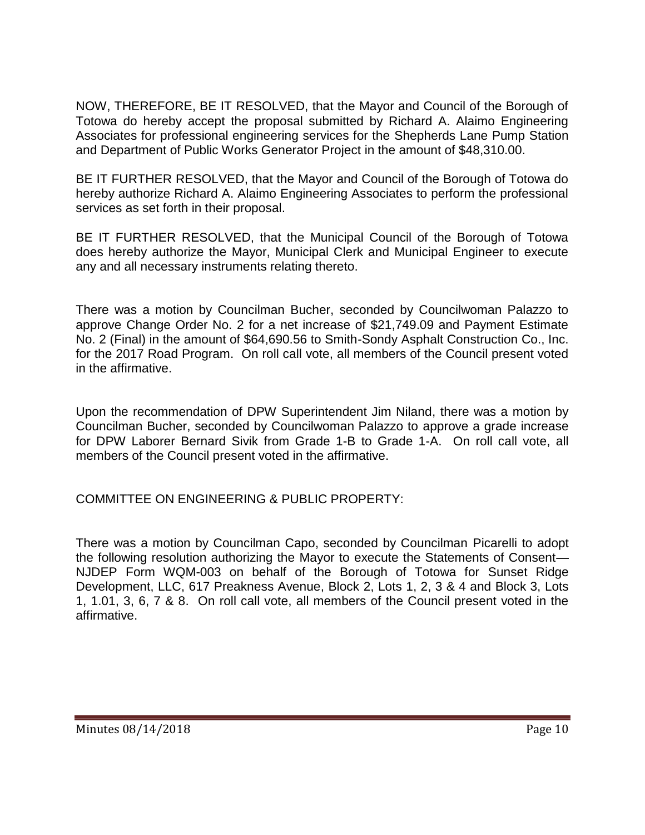NOW, THEREFORE, BE IT RESOLVED, that the Mayor and Council of the Borough of Totowa do hereby accept the proposal submitted by Richard A. Alaimo Engineering Associates for professional engineering services for the Shepherds Lane Pump Station and Department of Public Works Generator Project in the amount of \$48,310.00.

BE IT FURTHER RESOLVED, that the Mayor and Council of the Borough of Totowa do hereby authorize Richard A. Alaimo Engineering Associates to perform the professional services as set forth in their proposal.

BE IT FURTHER RESOLVED, that the Municipal Council of the Borough of Totowa does hereby authorize the Mayor, Municipal Clerk and Municipal Engineer to execute any and all necessary instruments relating thereto.

There was a motion by Councilman Bucher, seconded by Councilwoman Palazzo to approve Change Order No. 2 for a net increase of \$21,749.09 and Payment Estimate No. 2 (Final) in the amount of \$64,690.56 to Smith-Sondy Asphalt Construction Co., Inc. for the 2017 Road Program. On roll call vote, all members of the Council present voted in the affirmative.

Upon the recommendation of DPW Superintendent Jim Niland, there was a motion by Councilman Bucher, seconded by Councilwoman Palazzo to approve a grade increase for DPW Laborer Bernard Sivik from Grade 1-B to Grade 1-A. On roll call vote, all members of the Council present voted in the affirmative.

COMMITTEE ON ENGINEERING & PUBLIC PROPERTY:

There was a motion by Councilman Capo, seconded by Councilman Picarelli to adopt the following resolution authorizing the Mayor to execute the Statements of Consent— NJDEP Form WQM-003 on behalf of the Borough of Totowa for Sunset Ridge Development, LLC, 617 Preakness Avenue, Block 2, Lots 1, 2, 3 & 4 and Block 3, Lots 1, 1.01, 3, 6, 7 & 8. On roll call vote, all members of the Council present voted in the affirmative.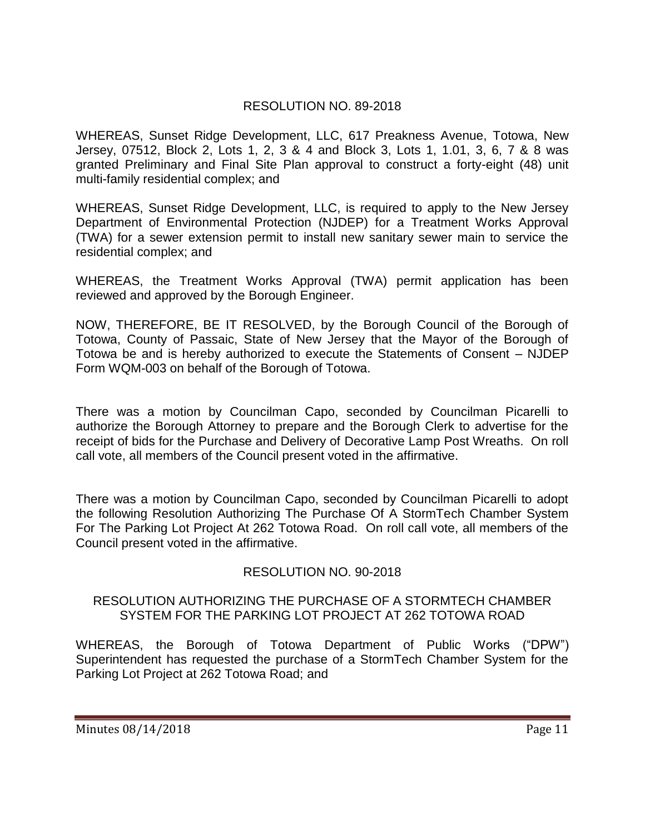# RESOLUTION NO. 89-2018

WHEREAS, Sunset Ridge Development, LLC, 617 Preakness Avenue, Totowa, New Jersey, 07512, Block 2, Lots 1, 2, 3 & 4 and Block 3, Lots 1, 1.01, 3, 6, 7 & 8 was granted Preliminary and Final Site Plan approval to construct a forty-eight (48) unit multi-family residential complex; and

WHEREAS, Sunset Ridge Development, LLC, is required to apply to the New Jersey Department of Environmental Protection (NJDEP) for a Treatment Works Approval (TWA) for a sewer extension permit to install new sanitary sewer main to service the residential complex; and

WHEREAS, the Treatment Works Approval (TWA) permit application has been reviewed and approved by the Borough Engineer.

NOW, THEREFORE, BE IT RESOLVED, by the Borough Council of the Borough of Totowa, County of Passaic, State of New Jersey that the Mayor of the Borough of Totowa be and is hereby authorized to execute the Statements of Consent – NJDEP Form WQM-003 on behalf of the Borough of Totowa.

There was a motion by Councilman Capo, seconded by Councilman Picarelli to authorize the Borough Attorney to prepare and the Borough Clerk to advertise for the receipt of bids for the Purchase and Delivery of Decorative Lamp Post Wreaths. On roll call vote, all members of the Council present voted in the affirmative.

There was a motion by Councilman Capo, seconded by Councilman Picarelli to adopt the following Resolution Authorizing The Purchase Of A StormTech Chamber System For The Parking Lot Project At 262 Totowa Road. On roll call vote, all members of the Council present voted in the affirmative.

# RESOLUTION NO. 90-2018

#### RESOLUTION AUTHORIZING THE PURCHASE OF A STORMTECH CHAMBER SYSTEM FOR THE PARKING LOT PROJECT AT 262 TOTOWA ROAD

WHEREAS, the Borough of Totowa Department of Public Works ("DPW") Superintendent has requested the purchase of a StormTech Chamber System for the Parking Lot Project at 262 Totowa Road; and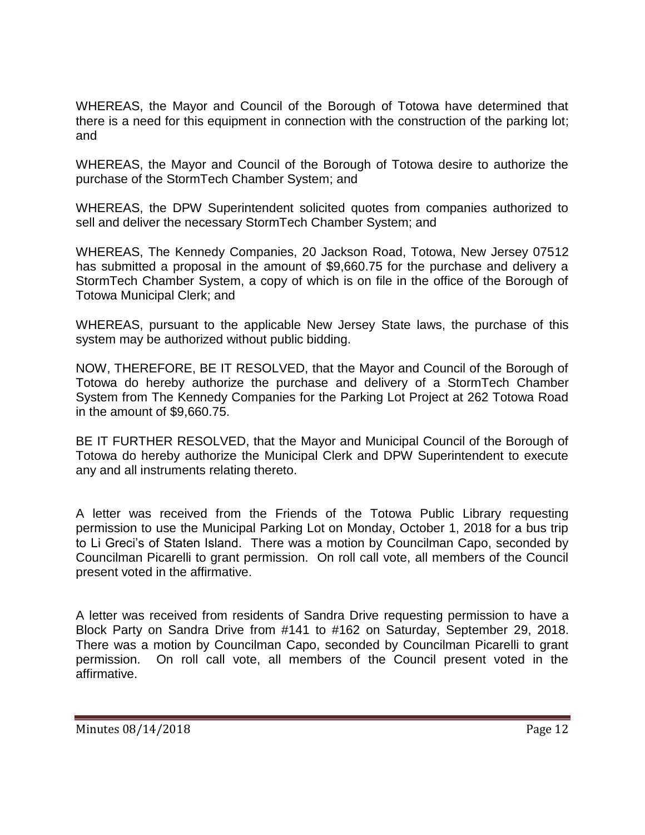WHEREAS, the Mayor and Council of the Borough of Totowa have determined that there is a need for this equipment in connection with the construction of the parking lot; and

WHEREAS, the Mayor and Council of the Borough of Totowa desire to authorize the purchase of the StormTech Chamber System; and

WHEREAS, the DPW Superintendent solicited quotes from companies authorized to sell and deliver the necessary StormTech Chamber System; and

WHEREAS, The Kennedy Companies, 20 Jackson Road, Totowa, New Jersey 07512 has submitted a proposal in the amount of \$9,660.75 for the purchase and delivery a StormTech Chamber System, a copy of which is on file in the office of the Borough of Totowa Municipal Clerk; and

WHEREAS, pursuant to the applicable New Jersey State laws, the purchase of this system may be authorized without public bidding.

NOW, THEREFORE, BE IT RESOLVED, that the Mayor and Council of the Borough of Totowa do hereby authorize the purchase and delivery of a StormTech Chamber System from The Kennedy Companies for the Parking Lot Project at 262 Totowa Road in the amount of \$9,660.75.

BE IT FURTHER RESOLVED, that the Mayor and Municipal Council of the Borough of Totowa do hereby authorize the Municipal Clerk and DPW Superintendent to execute any and all instruments relating thereto.

A letter was received from the Friends of the Totowa Public Library requesting permission to use the Municipal Parking Lot on Monday, October 1, 2018 for a bus trip to Li Greci's of Staten Island. There was a motion by Councilman Capo, seconded by Councilman Picarelli to grant permission. On roll call vote, all members of the Council present voted in the affirmative.

A letter was received from residents of Sandra Drive requesting permission to have a Block Party on Sandra Drive from #141 to #162 on Saturday, September 29, 2018. There was a motion by Councilman Capo, seconded by Councilman Picarelli to grant permission. On roll call vote, all members of the Council present voted in the affirmative.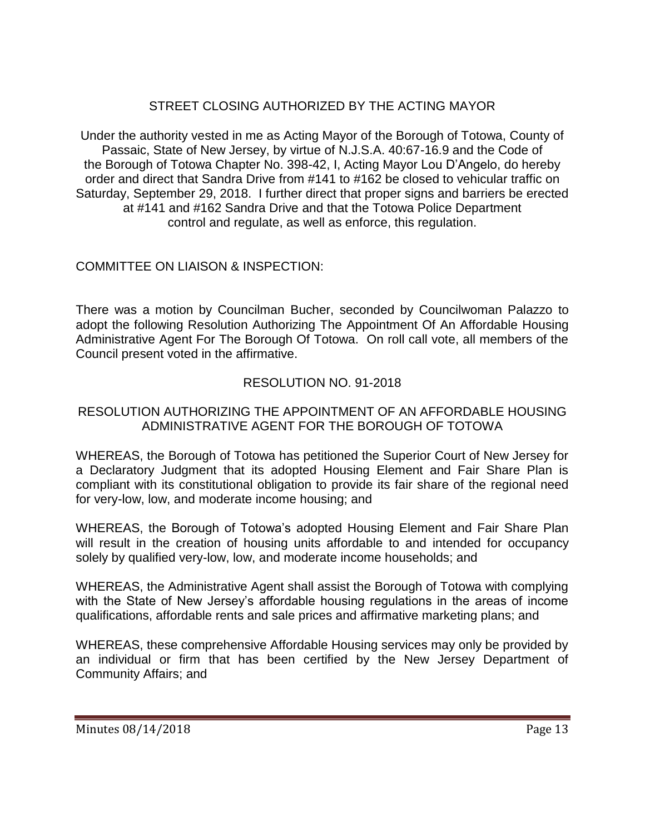# STREET CLOSING AUTHORIZED BY THE ACTING MAYOR

Under the authority vested in me as Acting Mayor of the Borough of Totowa, County of Passaic, State of New Jersey, by virtue of N.J.S.A. 40:67-16.9 and the Code of the Borough of Totowa Chapter No. 398-42, I, Acting Mayor Lou D'Angelo, do hereby order and direct that Sandra Drive from #141 to #162 be closed to vehicular traffic on Saturday, September 29, 2018. I further direct that proper signs and barriers be erected at #141 and #162 Sandra Drive and that the Totowa Police Department control and regulate, as well as enforce, this regulation.

# COMMITTEE ON LIAISON & INSPECTION:

There was a motion by Councilman Bucher, seconded by Councilwoman Palazzo to adopt the following Resolution Authorizing The Appointment Of An Affordable Housing Administrative Agent For The Borough Of Totowa. On roll call vote, all members of the Council present voted in the affirmative.

# RESOLUTION NO. 91-2018

### RESOLUTION AUTHORIZING THE APPOINTMENT OF AN AFFORDABLE HOUSING ADMINISTRATIVE AGENT FOR THE BOROUGH OF TOTOWA

WHEREAS, the Borough of Totowa has petitioned the Superior Court of New Jersey for a Declaratory Judgment that its adopted Housing Element and Fair Share Plan is compliant with its constitutional obligation to provide its fair share of the regional need for very-low, low, and moderate income housing; and

WHEREAS, the Borough of Totowa's adopted Housing Element and Fair Share Plan will result in the creation of housing units affordable to and intended for occupancy solely by qualified very-low, low, and moderate income households; and

WHEREAS, the Administrative Agent shall assist the Borough of Totowa with complying with the State of New Jersey's affordable housing regulations in the areas of income qualifications, affordable rents and sale prices and affirmative marketing plans; and

WHEREAS, these comprehensive Affordable Housing services may only be provided by an individual or firm that has been certified by the New Jersey Department of Community Affairs; and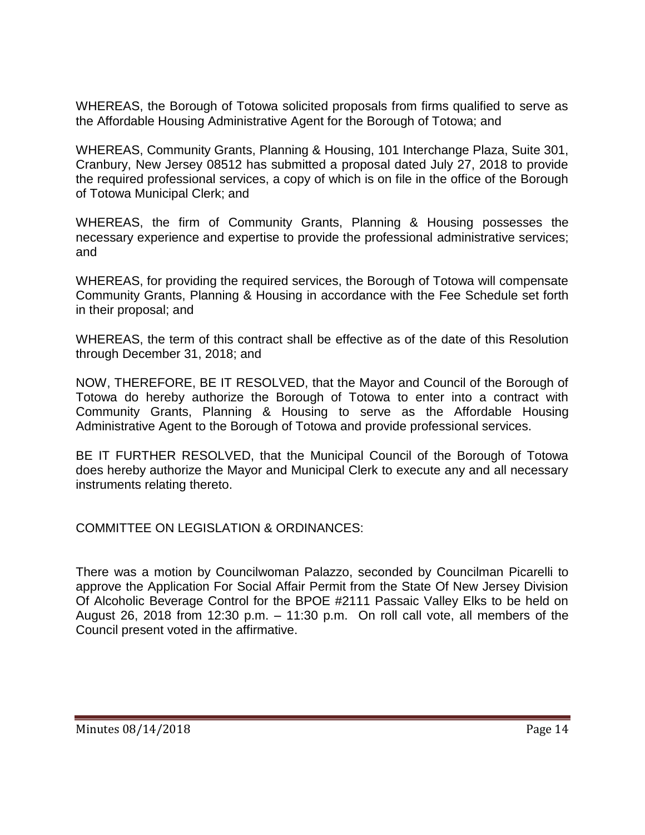WHEREAS, the Borough of Totowa solicited proposals from firms qualified to serve as the Affordable Housing Administrative Agent for the Borough of Totowa; and

WHEREAS, Community Grants, Planning & Housing, 101 Interchange Plaza, Suite 301, Cranbury, New Jersey 08512 has submitted a proposal dated July 27, 2018 to provide the required professional services, a copy of which is on file in the office of the Borough of Totowa Municipal Clerk; and

WHEREAS, the firm of Community Grants, Planning & Housing possesses the necessary experience and expertise to provide the professional administrative services; and

WHEREAS, for providing the required services, the Borough of Totowa will compensate Community Grants, Planning & Housing in accordance with the Fee Schedule set forth in their proposal; and

WHEREAS, the term of this contract shall be effective as of the date of this Resolution through December 31, 2018; and

NOW, THEREFORE, BE IT RESOLVED, that the Mayor and Council of the Borough of Totowa do hereby authorize the Borough of Totowa to enter into a contract with Community Grants, Planning & Housing to serve as the Affordable Housing Administrative Agent to the Borough of Totowa and provide professional services.

BE IT FURTHER RESOLVED, that the Municipal Council of the Borough of Totowa does hereby authorize the Mayor and Municipal Clerk to execute any and all necessary instruments relating thereto.

COMMITTEE ON LEGISLATION & ORDINANCES:

There was a motion by Councilwoman Palazzo, seconded by Councilman Picarelli to approve the Application For Social Affair Permit from the State Of New Jersey Division Of Alcoholic Beverage Control for the BPOE #2111 Passaic Valley Elks to be held on August 26, 2018 from 12:30 p.m. – 11:30 p.m. On roll call vote, all members of the Council present voted in the affirmative.